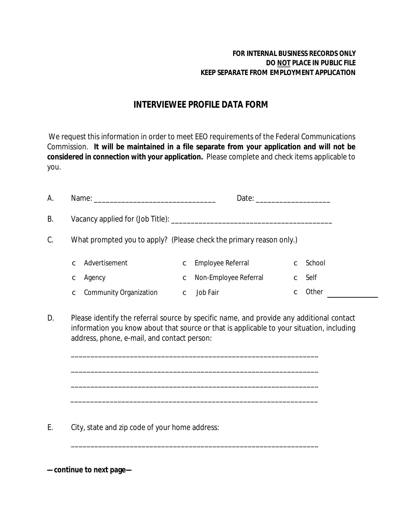## **FOR INTERNAL BUSINESS RECORDS ONLY DO NOT PLACE IN PUBLIC FILE KEEP SEPARATE FROM EMPLOYMENT APPLICATION**

## **INTERVIEWEE PROFILE DATA FORM**

We request this information in order to meet EEO requirements of the Federal Communications Commission. **It will be maintained in a file separate from your application and will not be considered in connection with your application.** Please complete and check items applicable to you.

| A. |                                                                     |             |                         |  |                    |  |  |
|----|---------------------------------------------------------------------|-------------|-------------------------|--|--------------------|--|--|
| В. |                                                                     |             |                         |  |                    |  |  |
| C. | What prompted you to apply? (Please check the primary reason only.) |             |                         |  |                    |  |  |
|    | c Advertisement                                                     |             | C Employee Referral     |  | $\mathbf c$ School |  |  |
|    | c Agency                                                            |             | C Non-Employee Referral |  | $\mathbf c$ Self   |  |  |
|    | C Community Organization                                            | $\mathbf c$ | Job Fair                |  | $\mathbf c$ Other  |  |  |

D. Please identify the referral source *by specific name*, and provide any additional contact information you know about that source or that is applicable to your situation, including address, phone, e-mail, and contact person:

\_\_\_\_\_\_\_\_\_\_\_\_\_\_\_\_\_\_\_\_\_\_\_\_\_\_\_\_\_\_\_\_\_\_\_\_\_\_\_\_\_\_\_\_\_\_\_\_\_\_\_\_\_\_\_\_\_\_\_\_\_\_\_

\_\_\_\_\_\_\_\_\_\_\_\_\_\_\_\_\_\_\_\_\_\_\_\_\_\_\_\_\_\_\_\_\_\_\_\_\_\_\_\_\_\_\_\_\_\_\_\_\_\_\_\_\_\_\_\_\_\_\_\_\_\_\_

\_\_\_\_\_\_\_\_\_\_\_\_\_\_\_\_\_\_\_\_\_\_\_\_\_\_\_\_\_\_\_\_\_\_\_\_\_\_\_\_\_\_\_\_\_\_\_\_\_\_\_\_\_\_\_\_\_\_\_\_\_\_\_

\_\_\_\_\_\_\_\_\_\_\_\_\_\_\_\_\_\_\_\_\_\_\_\_\_\_\_\_\_\_\_\_\_\_\_\_\_\_\_\_\_\_\_\_\_\_\_\_\_\_\_\_\_\_\_\_\_\_\_\_\_\_\_

\_\_\_\_\_\_\_\_\_\_\_\_\_\_\_\_\_\_\_\_\_\_\_\_\_\_\_\_\_\_\_\_\_\_\_\_\_\_\_\_\_\_\_\_\_\_\_\_\_\_\_\_\_\_\_\_\_\_\_\_\_\_\_

E. City, state and zip code of your home address:

**—continue to next page—**